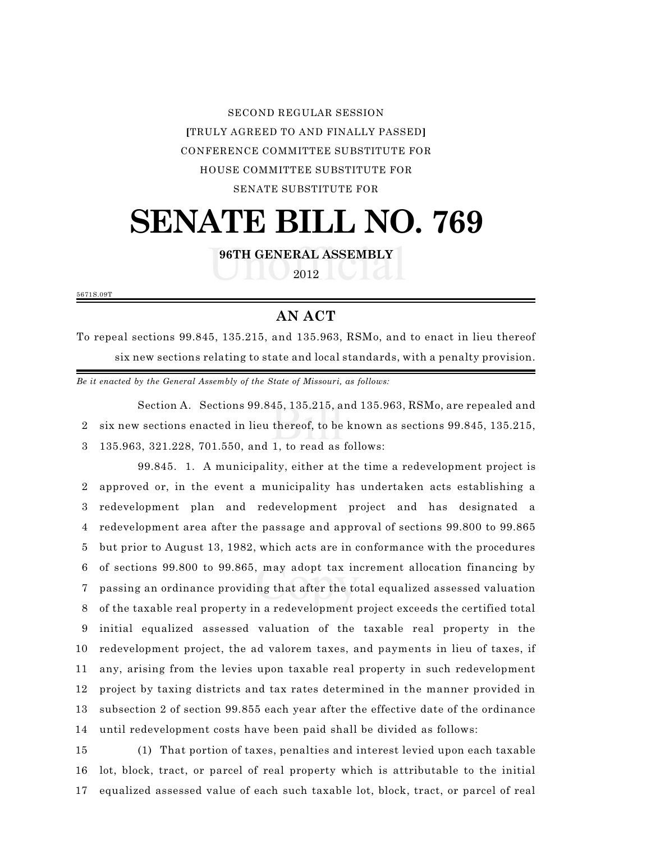SECOND REGULAR SESSION **[**TRULY AGREED TO AND FINALLY PASSED**]** CONFERENCE COMMITTEE SUBSTITUTE FOR HOUSE COMMITTEE SUBSTITUTE FOR SENATE SUBSTITUTE FOR

## **SENATE BILL NO. 769**

**96TH GENERAL ASSEMBLY**

2012

5671S.09T

## **AN ACT**

To repeal sections 99.845, 135.215, and 135.963, RSMo, and to enact in lieu thereof six new sections relating to state and local standards, with a penalty provision.

*Be it enacted by the General Assembly of the State of Missouri, as follows:*

Section A. Sections 99.845, 135.215, and 135.963, RSMo, are repealed and 2 six new sections enacted in lieu thereof, to be known as sections 99.845, 135.215, 3 135.963, 321.228, 701.550, and 1, to read as follows:

99.845. 1. A municipality, either at the time a redevelopment project is approved or, in the event a municipality has undertaken acts establishing a redevelopment plan and redevelopment project and has designated a redevelopment area after the passage and approval of sections 99.800 to 99.865 but prior to August 13, 1982, which acts are in conformance with the procedures of sections 99.800 to 99.865, may adopt tax increment allocation financing by passing an ordinance providing that after the total equalized assessed valuation of the taxable real property in a redevelopment project exceeds the certified total initial equalized assessed valuation of the taxable real property in the redevelopment project, the ad valorem taxes, and payments in lieu of taxes, if any, arising from the levies upon taxable real property in such redevelopment project by taxing districts and tax rates determined in the manner provided in subsection 2 of section 99.855 each year after the effective date of the ordinance until redevelopment costs have been paid shall be divided as follows:

15 (1) That portion of taxes, penalties and interest levied upon each taxable 16 lot, block, tract, or parcel of real property which is attributable to the initial 17 equalized assessed value of each such taxable lot, block, tract, or parcel of real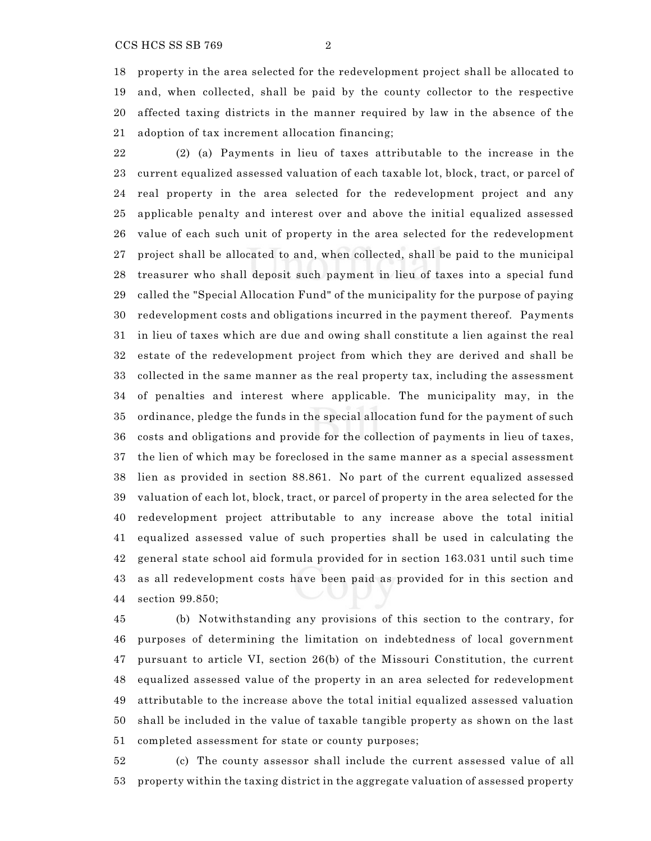property in the area selected for the redevelopment project shall be allocated to and, when collected, shall be paid by the county collector to the respective affected taxing districts in the manner required by law in the absence of the

 (2) (a) Payments in lieu of taxes attributable to the increase in the current equalized assessed valuation of each taxable lot, block, tract, or parcel of real property in the area selected for the redevelopment project and any applicable penalty and interest over and above the initial equalized assessed value of each such unit of property in the area selected for the redevelopment project shall be allocated to and, when collected, shall be paid to the municipal treasurer who shall deposit such payment in lieu of taxes into a special fund called the "Special Allocation Fund" of the municipality for the purpose of paying redevelopment costs and obligations incurred in the payment thereof. Payments in lieu of taxes which are due and owing shall constitute a lien against the real estate of the redevelopment project from which they are derived and shall be collected in the same manner as the real property tax, including the assessment of penalties and interest where applicable. The municipality may, in the ordinance, pledge the funds in the special allocation fund for the payment of such costs and obligations and provide for the collection of payments in lieu of taxes, the lien of which may be foreclosed in the same manner as a special assessment lien as provided in section 88.861. No part of the current equalized assessed valuation of each lot, block, tract, or parcel of property in the area selected for the redevelopment project attributable to any increase above the total initial equalized assessed value of such properties shall be used in calculating the general state school aid formula provided for in section 163.031 until such time as all redevelopment costs have been paid as provided for in this section and

section 99.850;

 (b) Notwithstanding any provisions of this section to the contrary, for purposes of determining the limitation on indebtedness of local government pursuant to article VI, section 26(b) of the Missouri Constitution, the current equalized assessed value of the property in an area selected for redevelopment attributable to the increase above the total initial equalized assessed valuation shall be included in the value of taxable tangible property as shown on the last completed assessment for state or county purposes;

 (c) The county assessor shall include the current assessed value of all property within the taxing district in the aggregate valuation of assessed property

adoption of tax increment allocation financing;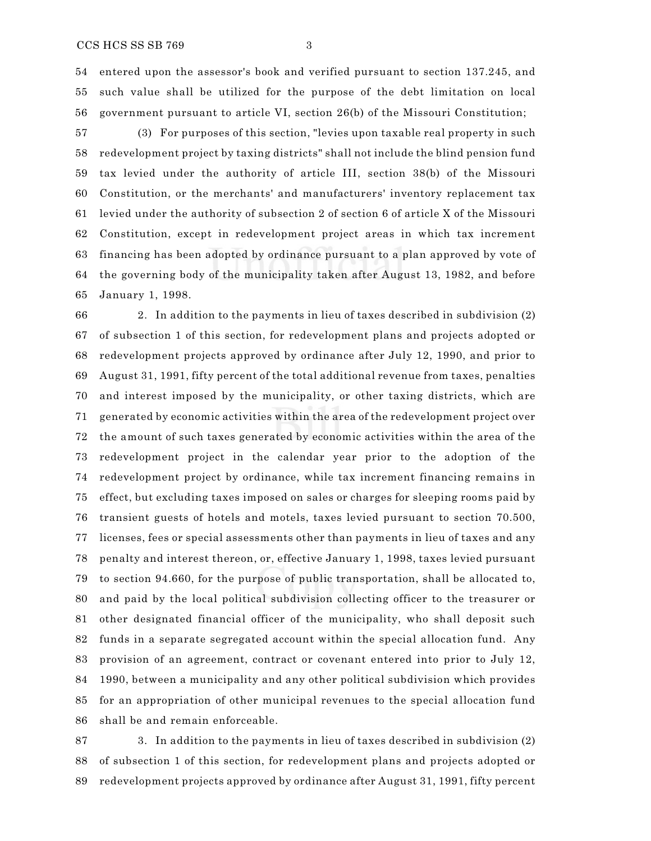entered upon the assessor's book and verified pursuant to section 137.245, and such value shall be utilized for the purpose of the debt limitation on local government pursuant to article VI, section 26(b) of the Missouri Constitution;

 (3) For purposes of this section, "levies upon taxable real property in such redevelopment project by taxing districts" shall not include the blind pension fund tax levied under the authority of article III, section 38(b) of the Missouri Constitution, or the merchants' and manufacturers' inventory replacement tax levied under the authority of subsection 2 of section 6 of article X of the Missouri Constitution, except in redevelopment project areas in which tax increment financing has been adopted by ordinance pursuant to a plan approved by vote of the governing body of the municipality taken after August 13, 1982, and before January 1, 1998.

 2. In addition to the payments in lieu of taxes described in subdivision (2) of subsection 1 of this section, for redevelopment plans and projects adopted or redevelopment projects approved by ordinance after July 12, 1990, and prior to August 31, 1991, fifty percent of the total additional revenue from taxes, penalties and interest imposed by the municipality, or other taxing districts, which are generated by economic activities within the area of the redevelopment project over the amount of such taxes generated by economic activities within the area of the redevelopment project in the calendar year prior to the adoption of the redevelopment project by ordinance, while tax increment financing remains in effect, but excluding taxes imposed on sales or charges for sleeping rooms paid by transient guests of hotels and motels, taxes levied pursuant to section 70.500, licenses, fees or special assessments other than payments in lieu of taxes and any penalty and interest thereon, or, effective January 1, 1998, taxes levied pursuant to section 94.660, for the purpose of public transportation, shall be allocated to, and paid by the local political subdivision collecting officer to the treasurer or other designated financial officer of the municipality, who shall deposit such funds in a separate segregated account within the special allocation fund. Any provision of an agreement, contract or covenant entered into prior to July 12, 1990, between a municipality and any other political subdivision which provides for an appropriation of other municipal revenues to the special allocation fund shall be and remain enforceable.

 3. In addition to the payments in lieu of taxes described in subdivision (2) of subsection 1 of this section, for redevelopment plans and projects adopted or redevelopment projects approved by ordinance after August 31, 1991, fifty percent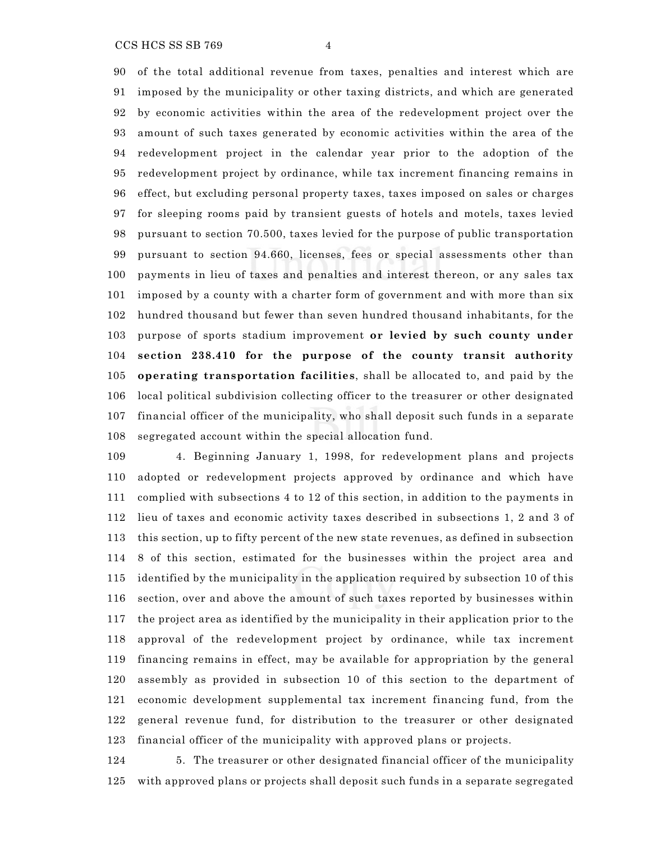## $CCS HCS SS SB 769$  4

 of the total additional revenue from taxes, penalties and interest which are imposed by the municipality or other taxing districts, and which are generated by economic activities within the area of the redevelopment project over the amount of such taxes generated by economic activities within the area of the redevelopment project in the calendar year prior to the adoption of the redevelopment project by ordinance, while tax increment financing remains in effect, but excluding personal property taxes, taxes imposed on sales or charges for sleeping rooms paid by transient guests of hotels and motels, taxes levied pursuant to section 70.500, taxes levied for the purpose of public transportation pursuant to section 94.660, licenses, fees or special assessments other than payments in lieu of taxes and penalties and interest thereon, or any sales tax imposed by a county with a charter form of government and with more than six hundred thousand but fewer than seven hundred thousand inhabitants, for the purpose of sports stadium improvement **or levied by such county under section 238.410 for the purpose of the county transit authority operating transportation facilities**, shall be allocated to, and paid by the local political subdivision collecting officer to the treasurer or other designated financial officer of the municipality, who shall deposit such funds in a separate segregated account within the special allocation fund.

 4. Beginning January 1, 1998, for redevelopment plans and projects adopted or redevelopment projects approved by ordinance and which have complied with subsections 4 to 12 of this section, in addition to the payments in lieu of taxes and economic activity taxes described in subsections 1, 2 and 3 of this section, up to fifty percent of the new state revenues, as defined in subsection 8 of this section, estimated for the businesses within the project area and identified by the municipality in the application required by subsection 10 of this section, over and above the amount of such taxes reported by businesses within the project area as identified by the municipality in their application prior to the approval of the redevelopment project by ordinance, while tax increment financing remains in effect, may be available for appropriation by the general assembly as provided in subsection 10 of this section to the department of economic development supplemental tax increment financing fund, from the general revenue fund, for distribution to the treasurer or other designated financial officer of the municipality with approved plans or projects.

 5. The treasurer or other designated financial officer of the municipality with approved plans or projects shall deposit such funds in a separate segregated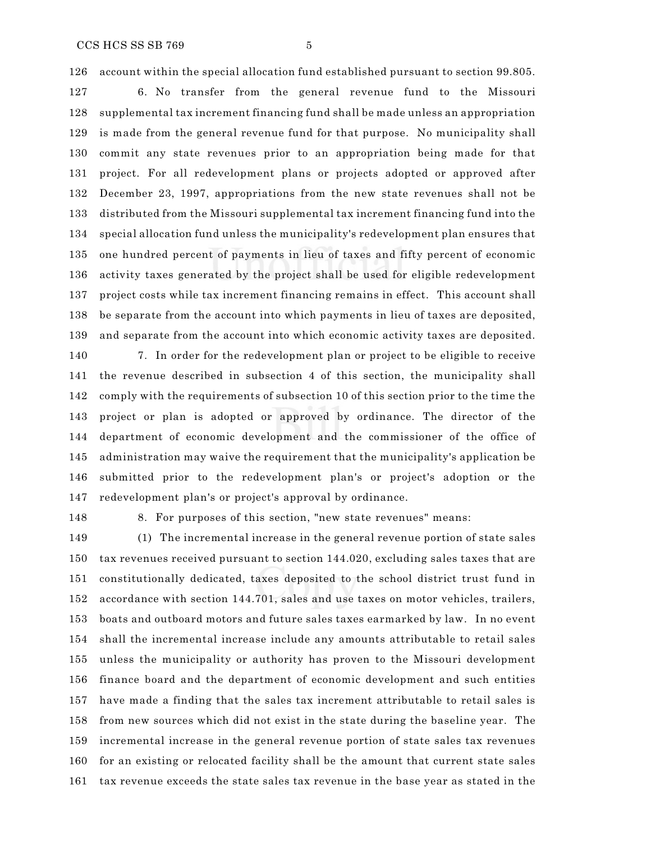account within the special allocation fund established pursuant to section 99.805.

 6. No transfer from the general revenue fund to the Missouri supplemental tax increment financing fund shall be made unless an appropriation is made from the general revenue fund for that purpose. No municipality shall commit any state revenues prior to an appropriation being made for that project. For all redevelopment plans or projects adopted or approved after December 23, 1997, appropriations from the new state revenues shall not be distributed from the Missouri supplemental tax increment financing fund into the special allocation fund unless the municipality's redevelopment plan ensures that one hundred percent of payments in lieu of taxes and fifty percent of economic activity taxes generated by the project shall be used for eligible redevelopment project costs while tax increment financing remains in effect. This account shall be separate from the account into which payments in lieu of taxes are deposited, and separate from the account into which economic activity taxes are deposited.

 7. In order for the redevelopment plan or project to be eligible to receive the revenue described in subsection 4 of this section, the municipality shall comply with the requirements of subsection 10 of this section prior to the time the project or plan is adopted or approved by ordinance. The director of the department of economic development and the commissioner of the office of administration may waive the requirement that the municipality's application be submitted prior to the redevelopment plan's or project's adoption or the redevelopment plan's or project's approval by ordinance.

8. For purposes of this section, "new state revenues" means:

 (1) The incremental increase in the general revenue portion of state sales tax revenues received pursuant to section 144.020, excluding sales taxes that are constitutionally dedicated, taxes deposited to the school district trust fund in accordance with section 144.701, sales and use taxes on motor vehicles, trailers, boats and outboard motors and future sales taxes earmarked by law. In no event shall the incremental increase include any amounts attributable to retail sales unless the municipality or authority has proven to the Missouri development finance board and the department of economic development and such entities have made a finding that the sales tax increment attributable to retail sales is from new sources which did not exist in the state during the baseline year. The incremental increase in the general revenue portion of state sales tax revenues for an existing or relocated facility shall be the amount that current state sales tax revenue exceeds the state sales tax revenue in the base year as stated in the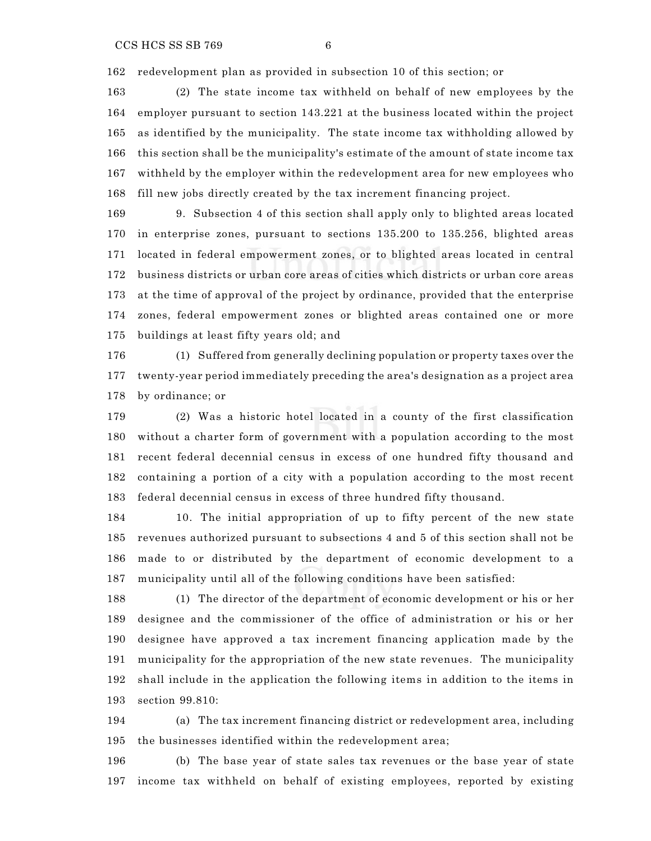redevelopment plan as provided in subsection 10 of this section; or

 (2) The state income tax withheld on behalf of new employees by the employer pursuant to section 143.221 at the business located within the project as identified by the municipality. The state income tax withholding allowed by this section shall be the municipality's estimate of the amount of state income tax withheld by the employer within the redevelopment area for new employees who fill new jobs directly created by the tax increment financing project.

 9. Subsection 4 of this section shall apply only to blighted areas located in enterprise zones, pursuant to sections 135.200 to 135.256, blighted areas located in federal empowerment zones, or to blighted areas located in central business districts or urban core areas of cities which districts or urban core areas at the time of approval of the project by ordinance, provided that the enterprise zones, federal empowerment zones or blighted areas contained one or more buildings at least fifty years old; and

 (1) Suffered from generally declining population or property taxes over the twenty-year period immediately preceding the area's designation as a project area by ordinance; or

 (2) Was a historic hotel located in a county of the first classification without a charter form of government with a population according to the most recent federal decennial census in excess of one hundred fifty thousand and containing a portion of a city with a population according to the most recent federal decennial census in excess of three hundred fifty thousand.

 10. The initial appropriation of up to fifty percent of the new state revenues authorized pursuant to subsections 4 and 5 of this section shall not be made to or distributed by the department of economic development to a municipality until all of the following conditions have been satisfied:

 (1) The director of the department of economic development or his or her designee and the commissioner of the office of administration or his or her designee have approved a tax increment financing application made by the municipality for the appropriation of the new state revenues. The municipality shall include in the application the following items in addition to the items in section 99.810:

 (a) The tax increment financing district or redevelopment area, including the businesses identified within the redevelopment area;

 (b) The base year of state sales tax revenues or the base year of state income tax withheld on behalf of existing employees, reported by existing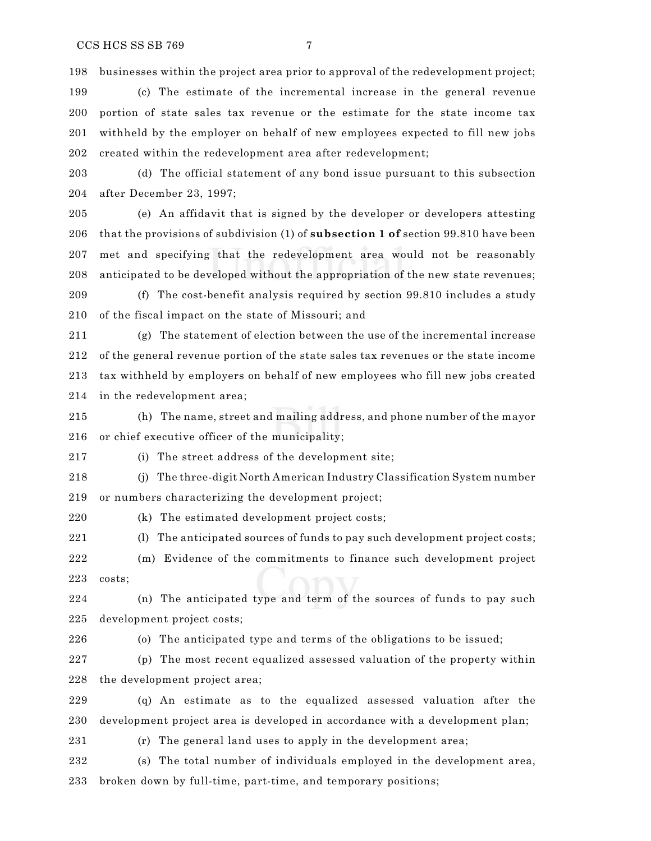businesses within the project area prior to approval of the redevelopment project;

 (c) The estimate of the incremental increase in the general revenue portion of state sales tax revenue or the estimate for the state income tax withheld by the employer on behalf of new employees expected to fill new jobs created within the redevelopment area after redevelopment;

 (d) The official statement of any bond issue pursuant to this subsection after December 23, 1997;

 (e) An affidavit that is signed by the developer or developers attesting that the provisions of subdivision (1) of **subsection 1 of** section 99.810 have been met and specifying that the redevelopment area would not be reasonably anticipated to be developed without the appropriation of the new state revenues;

 (f) The cost-benefit analysis required by section 99.810 includes a study of the fiscal impact on the state of Missouri; and

 (g) The statement of election between the use of the incremental increase of the general revenue portion of the state sales tax revenues or the state income tax withheld by employers on behalf of new employees who fill new jobs created in the redevelopment area;

 (h) The name, street and mailing address, and phone number of the mayor or chief executive officer of the municipality;

(i) The street address of the development site;

 (j) The three-digit North American Industry Classification System number or numbers characterizing the development project;

(k) The estimated development project costs;

(l) The anticipated sources of funds to pay such development project costs;

 (m) Evidence of the commitments to finance such development project costs;

 (n) The anticipated type and term of the sources of funds to pay such development project costs;

(o) The anticipated type and terms of the obligations to be issued;

 (p) The most recent equalized assessed valuation of the property within the development project area;

 (q) An estimate as to the equalized assessed valuation after the development project area is developed in accordance with a development plan;

(r) The general land uses to apply in the development area;

 (s) The total number of individuals employed in the development area, broken down by full-time, part-time, and temporary positions;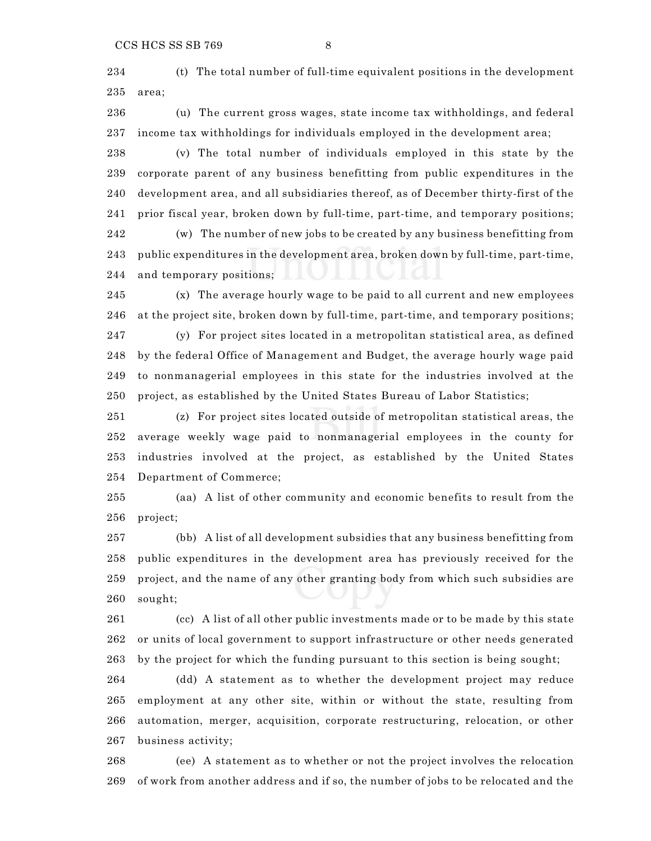(t) The total number of full-time equivalent positions in the development area;

 (u) The current gross wages, state income tax withholdings, and federal income tax withholdings for individuals employed in the development area;

 (v) The total number of individuals employed in this state by the corporate parent of any business benefitting from public expenditures in the development area, and all subsidiaries thereof, as of December thirty-first of the prior fiscal year, broken down by full-time, part-time, and temporary positions; (w) The number of new jobs to be created by any business benefitting from public expenditures in the development area, broken down by full-time, part-time, and temporary positions;

 (x) The average hourly wage to be paid to all current and new employees at the project site, broken down by full-time, part-time, and temporary positions; (y) For project sites located in a metropolitan statistical area, as defined by the federal Office of Management and Budget, the average hourly wage paid to nonmanagerial employees in this state for the industries involved at the project, as established by the United States Bureau of Labor Statistics;

 (z) For project sites located outside of metropolitan statistical areas, the average weekly wage paid to nonmanagerial employees in the county for industries involved at the project, as established by the United States Department of Commerce;

 (aa) A list of other community and economic benefits to result from the project;

 (bb) A list of all development subsidies that any business benefitting from public expenditures in the development area has previously received for the project, and the name of any other granting body from which such subsidies are sought;

 (cc) A list of all other public investments made or to be made by this state or units of local government to support infrastructure or other needs generated by the project for which the funding pursuant to this section is being sought;

 (dd) A statement as to whether the development project may reduce employment at any other site, within or without the state, resulting from automation, merger, acquisition, corporate restructuring, relocation, or other business activity;

 (ee) A statement as to whether or not the project involves the relocation of work from another address and if so, the number of jobs to be relocated and the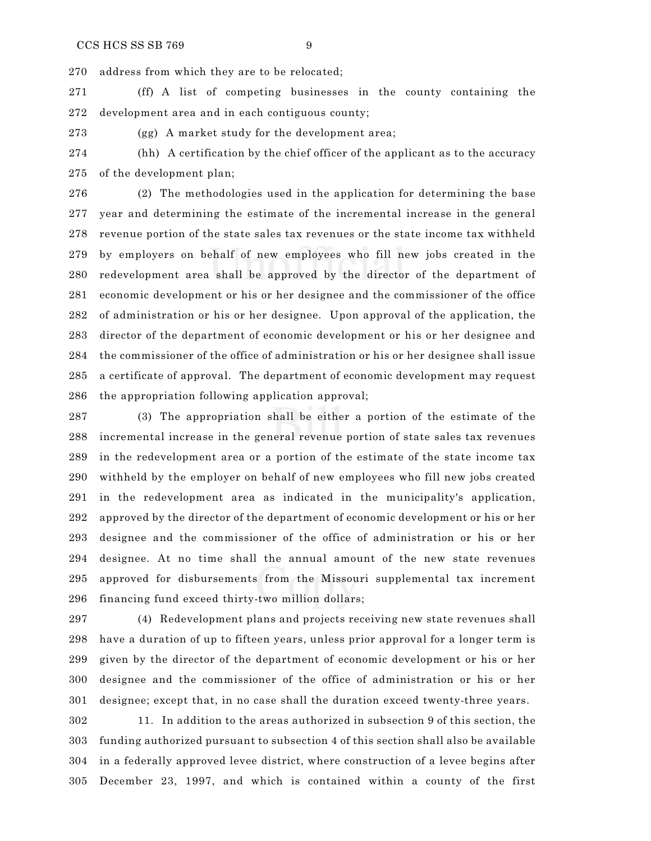address from which they are to be relocated;

 (ff) A list of competing businesses in the county containing the development area and in each contiguous county;

(gg) A market study for the development area;

 (hh) A certification by the chief officer of the applicant as to the accuracy of the development plan;

 (2) The methodologies used in the application for determining the base year and determining the estimate of the incremental increase in the general revenue portion of the state sales tax revenues or the state income tax withheld by employers on behalf of new employees who fill new jobs created in the redevelopment area shall be approved by the director of the department of economic development or his or her designee and the commissioner of the office of administration or his or her designee. Upon approval of the application, the director of the department of economic development or his or her designee and the commissioner of the office of administration or his or her designee shall issue a certificate of approval. The department of economic development may request the appropriation following application approval;

 (3) The appropriation shall be either a portion of the estimate of the incremental increase in the general revenue portion of state sales tax revenues in the redevelopment area or a portion of the estimate of the state income tax withheld by the employer on behalf of new employees who fill new jobs created in the redevelopment area as indicated in the municipality's application, approved by the director of the department of economic development or his or her designee and the commissioner of the office of administration or his or her designee. At no time shall the annual amount of the new state revenues approved for disbursements from the Missouri supplemental tax increment financing fund exceed thirty-two million dollars;

 (4) Redevelopment plans and projects receiving new state revenues shall have a duration of up to fifteen years, unless prior approval for a longer term is given by the director of the department of economic development or his or her designee and the commissioner of the office of administration or his or her designee; except that, in no case shall the duration exceed twenty-three years.

 11. In addition to the areas authorized in subsection 9 of this section, the funding authorized pursuant to subsection 4 of this section shall also be available in a federally approved levee district, where construction of a levee begins after December 23, 1997, and which is contained within a county of the first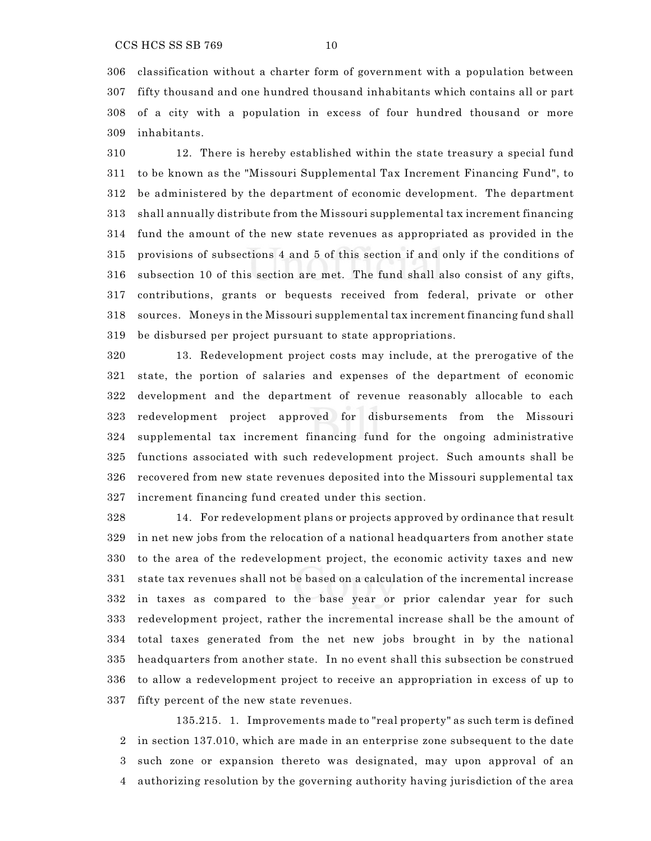classification without a charter form of government with a population between fifty thousand and one hundred thousand inhabitants which contains all or part of a city with a population in excess of four hundred thousand or more inhabitants.

 12. There is hereby established within the state treasury a special fund to be known as the "Missouri Supplemental Tax Increment Financing Fund", to be administered by the department of economic development. The department shall annually distribute from the Missouri supplemental tax increment financing fund the amount of the new state revenues as appropriated as provided in the provisions of subsections 4 and 5 of this section if and only if the conditions of subsection 10 of this section are met. The fund shall also consist of any gifts, contributions, grants or bequests received from federal, private or other sources. Moneys in the Missouri supplemental tax increment financing fund shall be disbursed per project pursuant to state appropriations.

 13. Redevelopment project costs may include, at the prerogative of the state, the portion of salaries and expenses of the department of economic development and the department of revenue reasonably allocable to each redevelopment project approved for disbursements from the Missouri supplemental tax increment financing fund for the ongoing administrative functions associated with such redevelopment project. Such amounts shall be recovered from new state revenues deposited into the Missouri supplemental tax increment financing fund created under this section.

 14. For redevelopment plans or projects approved by ordinance that result in net new jobs from the relocation of a national headquarters from another state to the area of the redevelopment project, the economic activity taxes and new state tax revenues shall not be based on a calculation of the incremental increase in taxes as compared to the base year or prior calendar year for such redevelopment project, rather the incremental increase shall be the amount of total taxes generated from the net new jobs brought in by the national headquarters from another state. In no event shall this subsection be construed to allow a redevelopment project to receive an appropriation in excess of up to fifty percent of the new state revenues.

135.215. 1. Improvements made to "real property" as such term is defined in section 137.010, which are made in an enterprise zone subsequent to the date such zone or expansion thereto was designated, may upon approval of an authorizing resolution by the governing authority having jurisdiction of the area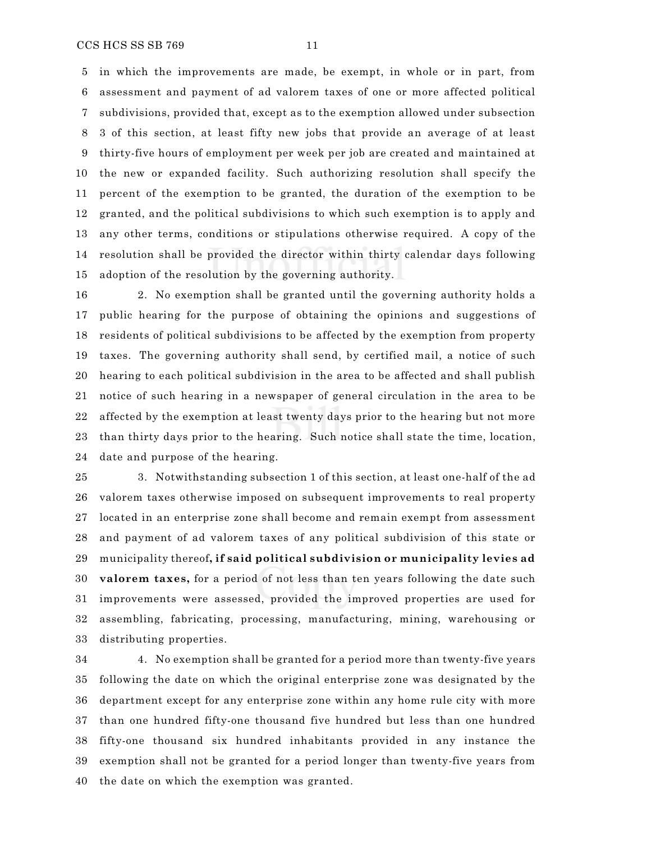in which the improvements are made, be exempt, in whole or in part, from assessment and payment of ad valorem taxes of one or more affected political subdivisions, provided that, except as to the exemption allowed under subsection 3 of this section, at least fifty new jobs that provide an average of at least thirty-five hours of employment per week per job are created and maintained at the new or expanded facility. Such authorizing resolution shall specify the percent of the exemption to be granted, the duration of the exemption to be granted, and the political subdivisions to which such exemption is to apply and any other terms, conditions or stipulations otherwise required. A copy of the resolution shall be provided the director within thirty calendar days following adoption of the resolution by the governing authority.

 2. No exemption shall be granted until the governing authority holds a public hearing for the purpose of obtaining the opinions and suggestions of residents of political subdivisions to be affected by the exemption from property taxes. The governing authority shall send, by certified mail, a notice of such hearing to each political subdivision in the area to be affected and shall publish notice of such hearing in a newspaper of general circulation in the area to be affected by the exemption at least twenty days prior to the hearing but not more than thirty days prior to the hearing. Such notice shall state the time, location, date and purpose of the hearing.

 3. Notwithstanding subsection 1 of this section, at least one-half of the ad valorem taxes otherwise imposed on subsequent improvements to real property located in an enterprise zone shall become and remain exempt from assessment and payment of ad valorem taxes of any political subdivision of this state or municipality thereof**, if said political subdivision or municipality levies ad valorem taxes,** for a period of not less than ten years following the date such improvements were assessed, provided the improved properties are used for assembling, fabricating, processing, manufacturing, mining, warehousing or distributing properties.

 4. No exemption shall be granted for a period more than twenty-five years following the date on which the original enterprise zone was designated by the department except for any enterprise zone within any home rule city with more than one hundred fifty-one thousand five hundred but less than one hundred fifty-one thousand six hundred inhabitants provided in any instance the exemption shall not be granted for a period longer than twenty-five years from the date on which the exemption was granted.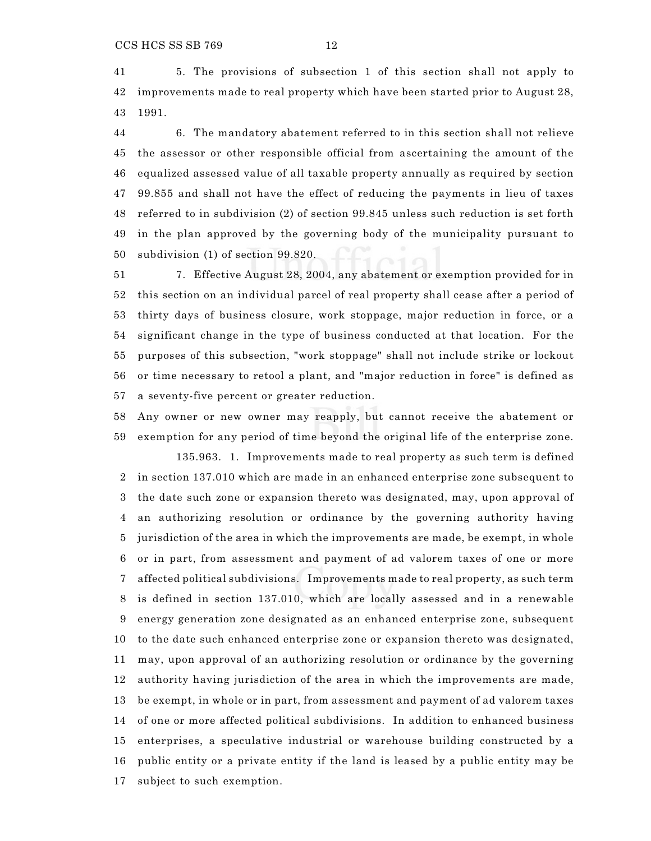5. The provisions of subsection 1 of this section shall not apply to improvements made to real property which have been started prior to August 28, 1991.

 6. The mandatory abatement referred to in this section shall not relieve the assessor or other responsible official from ascertaining the amount of the equalized assessed value of all taxable property annually as required by section 99.855 and shall not have the effect of reducing the payments in lieu of taxes referred to in subdivision (2) of section 99.845 unless such reduction is set forth in the plan approved by the governing body of the municipality pursuant to subdivision (1) of section 99.820.

 7. Effective August 28, 2004, any abatement or exemption provided for in this section on an individual parcel of real property shall cease after a period of thirty days of business closure, work stoppage, major reduction in force, or a significant change in the type of business conducted at that location. For the purposes of this subsection, "work stoppage" shall not include strike or lockout or time necessary to retool a plant, and "major reduction in force" is defined as a seventy-five percent or greater reduction.

Any owner or new owner may reapply, but cannot receive the abatement or

 exemption for any period of time beyond the original life of the enterprise zone. 135.963. 1. Improvements made to real property as such term is defined in section 137.010 which are made in an enhanced enterprise zone subsequent to the date such zone or expansion thereto was designated, may, upon approval of an authorizing resolution or ordinance by the governing authority having jurisdiction of the area in which the improvements are made, be exempt, in whole or in part, from assessment and payment of ad valorem taxes of one or more affected political subdivisions. Improvements made to real property, as such term is defined in section 137.010, which are locally assessed and in a renewable energy generation zone designated as an enhanced enterprise zone, subsequent to the date such enhanced enterprise zone or expansion thereto was designated, may, upon approval of an authorizing resolution or ordinance by the governing authority having jurisdiction of the area in which the improvements are made, be exempt, in whole or in part, from assessment and payment of ad valorem taxes of one or more affected political subdivisions. In addition to enhanced business enterprises, a speculative industrial or warehouse building constructed by a public entity or a private entity if the land is leased by a public entity may be subject to such exemption.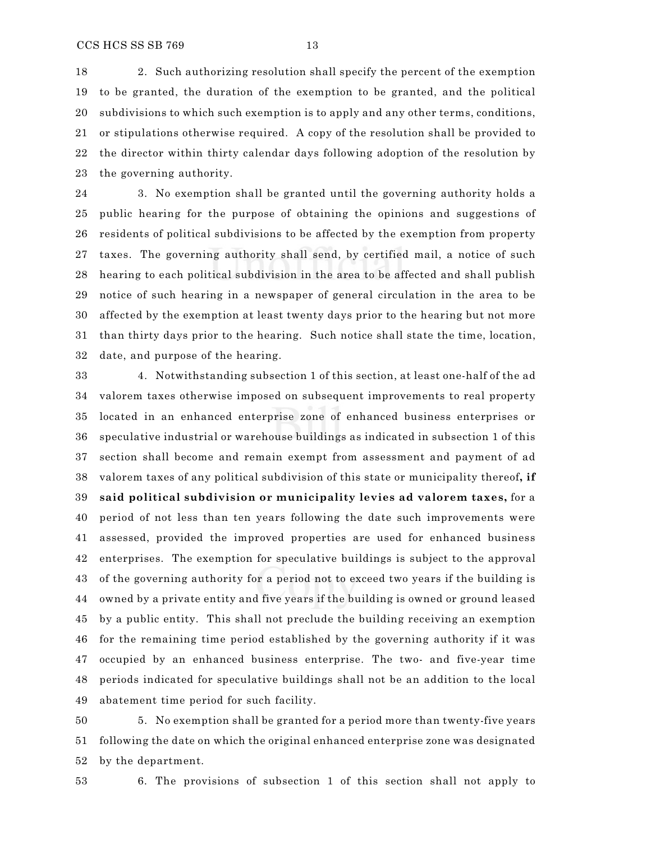2. Such authorizing resolution shall specify the percent of the exemption to be granted, the duration of the exemption to be granted, and the political subdivisions to which such exemption is to apply and any other terms, conditions, or stipulations otherwise required. A copy of the resolution shall be provided to the director within thirty calendar days following adoption of the resolution by the governing authority.

 3. No exemption shall be granted until the governing authority holds a public hearing for the purpose of obtaining the opinions and suggestions of residents of political subdivisions to be affected by the exemption from property taxes. The governing authority shall send, by certified mail, a notice of such hearing to each political subdivision in the area to be affected and shall publish notice of such hearing in a newspaper of general circulation in the area to be affected by the exemption at least twenty days prior to the hearing but not more than thirty days prior to the hearing. Such notice shall state the time, location, date, and purpose of the hearing.

 4. Notwithstanding subsection 1 of this section, at least one-half of the ad valorem taxes otherwise imposed on subsequent improvements to real property located in an enhanced enterprise zone of enhanced business enterprises or speculative industrial or warehouse buildings as indicated in subsection 1 of this section shall become and remain exempt from assessment and payment of ad valorem taxes of any political subdivision of this state or municipality thereof**, if said political subdivision or municipality levies ad valorem taxes,** for a period of not less than ten years following the date such improvements were assessed, provided the improved properties are used for enhanced business enterprises. The exemption for speculative buildings is subject to the approval of the governing authority for a period not to exceed two years if the building is owned by a private entity and five years if the building is owned or ground leased by a public entity. This shall not preclude the building receiving an exemption for the remaining time period established by the governing authority if it was occupied by an enhanced business enterprise. The two- and five-year time periods indicated for speculative buildings shall not be an addition to the local abatement time period for such facility.

 5. No exemption shall be granted for a period more than twenty-five years following the date on which the original enhanced enterprise zone was designated by the department.

6. The provisions of subsection 1 of this section shall not apply to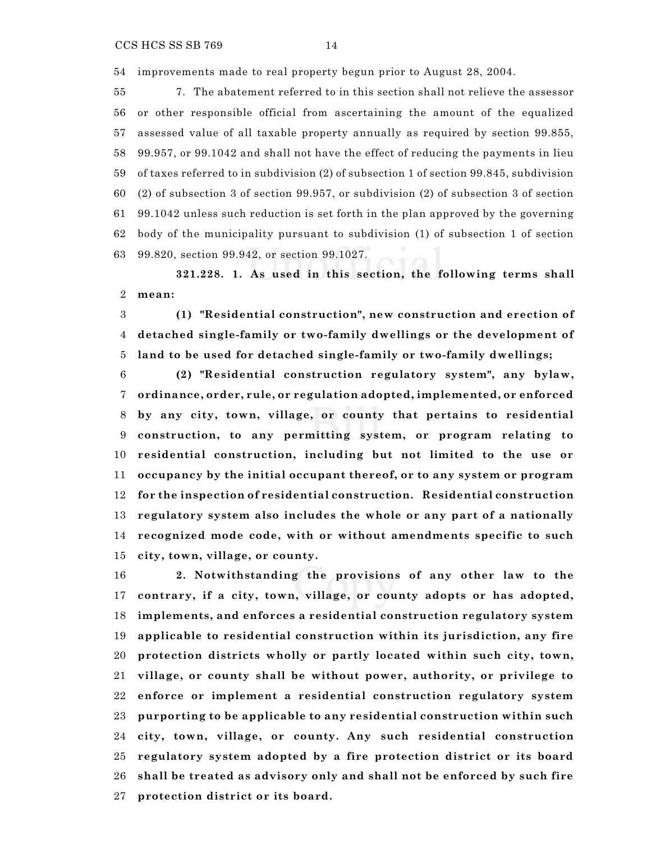7. The abatement referred to in this section shall not relieve the assessor or other responsible official from ascertaining the amount of the equalized assessed value of all taxable property annually as required by section 99.855, 99.957, or 99.1042 and shall not have the effect of reducing the payments in lieu of taxes referred to in subdivision (2) of subsection 1 of section 99.845, subdivision (2) of subsection 3 of section 99.957, or subdivision (2) of subsection 3 of section 99.1042 unless such reduction is set forth in the plan approved by the governing body of the municipality pursuant to subdivision (1) of subsection 1 of section 99.820, section 99.942, or section 99.1027.

**321.228. 1. As used in this section, the following terms shall mean:**

 **(1) "Residential construction", new construction and erection of detached single-family or two-family dwellings or the development of land to be used for detached single-family or two-family dwellings;**

 **(2) "Residential construction regulatory system", any bylaw, ordinance, order, rule, or regulation adopted, implemented, or enforced by any city, town, village, or county that pertains to residential construction, to any permitting system, or program relating to residential construction, including but not limited to the use or occupancy by the initial occupant thereof, or to any system or program for the inspection of residential construction. Residential construction regulatory system also includes the whole or any part of a nationally recognized mode code, with or without amendments specific to such city, town, village, or county.**

 **2. Notwithstanding the provisions of any other law to the contrary, if a city, town, village, or county adopts or has adopted, implements, and enforces a residential construction regulatory system applicable to residential construction within its jurisdiction, any fire protection districts wholly or partly located within such city, town, village, or county shall be without power, authority, or privilege to enforce or implement a residential construction regulatory system purporting to be applicable to any residential construction within such city, town, village, or county. Any such residential construction regulatory system adopted by a fire protection district or its board shall be treated as advisory only and shall not be enforced by such fire protection district or its board.**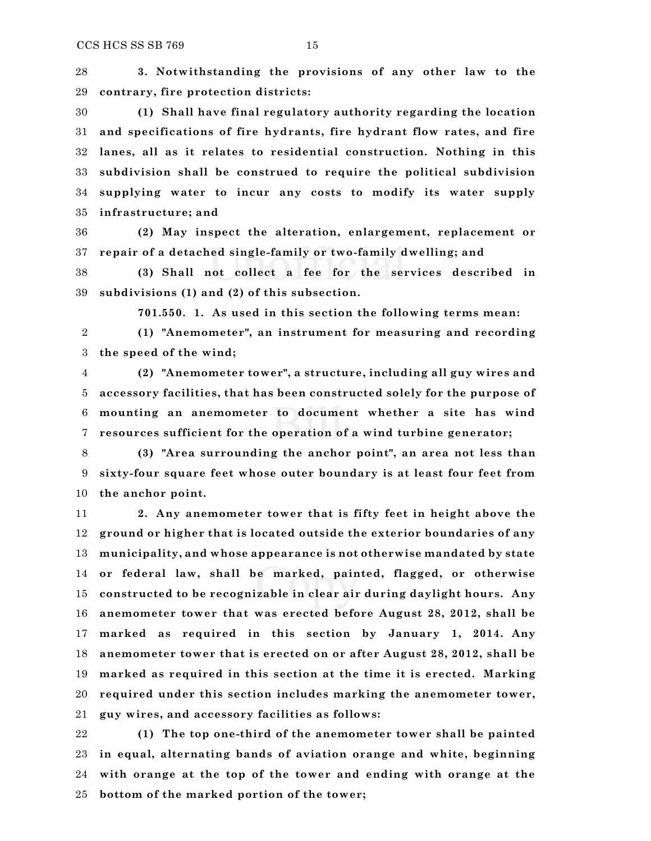**3. Notwithstanding the provisions of any other law to the contrary, fire protection districts:**

 **(1) Shall have final regulatory authority regarding the location and specifications of fire hydrants, fire hydrant flow rates, and fire lanes, all as it relates to residential construction. Nothing in this subdivision shall be construed to require the political subdivision supplying water to incur any costs to modify its water supply infrastructure; and**

 **(2) May inspect the alteration, enlargement, replacement or repair of a detached single-family or two-family dwelling; and**

 **(3) Shall not collect a fee for the services described in subdivisions (1) and (2) of this subsection.**

**701.550. 1. As used in this section the following terms mean:**

 **(1) "Anemometer", an instrument for measuring and recording the speed of the wind;**

 **(2) "Anemometer tower", a structure, including all guy wires and accessory facilities, that has been constructed solely for the purpose of mounting an anemometer to document whether a site has wind resources sufficient for the operation of a wind turbine generator;**

 **(3) "Area surrounding the anchor point", an area not less than sixty-four square feet whose outer boundary is at least four feet from the anchor point.**

 **2. Any anemometer tower that is fifty feet in height above the ground or higher that is located outside the exterior boundaries of any municipality, and whose appearance is not otherwise mandated by state or federal law, shall be marked, painted, flagged, or otherwise constructed to be recognizable in clear air during daylight hours. Any anemometer tower that was erected before August 28, 2012, shall be marked as required in this section by January 1, 2014. Any anemometer tower that is erected on or after August 28, 2012, shall be marked as required in this section at the time it is erected. Marking required under this section includes marking the anemometer tower, guy wires, and accessory facilities as follows:**

 **(1) The top one-third of the anemometer tower shall be painted in equal, alternating bands of aviation orange and white, beginning with orange at the top of the tower and ending with orange at the bottom of the marked portion of the tower;**